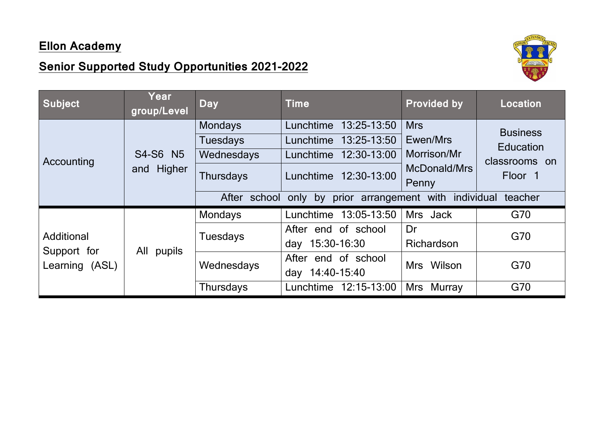## **Ellon Academy**

## **Senior Supported Study Opportunities 2021-2022**



| Subject                                     | Year<br>group/Level    | <b>Day</b>                                                          | <b>Time</b>                                                                                               | <b>Provided by</b>                                             | <b>Location</b>                                                            |
|---------------------------------------------|------------------------|---------------------------------------------------------------------|-----------------------------------------------------------------------------------------------------------|----------------------------------------------------------------|----------------------------------------------------------------------------|
| Accounting                                  | S4-S6 N5<br>and Higher | <b>Mondays</b><br><b>Tuesdays</b><br>Wednesdays<br><b>Thursdays</b> | 13:25-13:50<br>Lunchtime<br>13:25-13:50<br>Lunchtime<br>12:30-13:00<br>Lunchtime<br>Lunchtime 12:30-13:00 | <b>Mrs</b><br>Ewen/Mrs<br>Morrison/Mr<br>McDonald/Mrs<br>Penny | <b>Business</b><br><b>Education</b><br>classrooms on<br>Floor <sub>1</sub> |
|                                             |                        | After school                                                        | prior arrangement with<br>only by                                                                         | individual                                                     | teacher                                                                    |
| Additional<br>Support for<br>Learning (ASL) | All<br>pupils          | <b>Mondays</b>                                                      | 13:05-13:50<br>Lunchtime                                                                                  | Mrs Jack                                                       | G70                                                                        |
|                                             |                        | <b>Tuesdays</b>                                                     | After end of school<br>15:30-16:30<br>day                                                                 | Dr<br>Richardson                                               | G70                                                                        |
|                                             |                        | Wednesdays                                                          | end of school<br>After<br>14:40-15:40<br>day                                                              | Wilson<br>Mrs                                                  | G70                                                                        |
|                                             |                        | <b>Thursdays</b>                                                    | 12:15-13:00<br>Lunchtime                                                                                  | Mrs<br>Murray                                                  | G70                                                                        |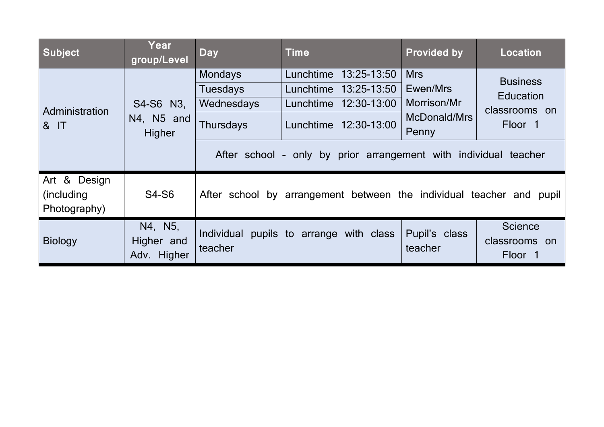| <b>Subject</b>                              | Year<br>group/Level                  | <b>Day</b>                                                          | <b>Time</b>                                                                                            | <b>Provided by</b>                                             | <b>Location</b>                                                            |  |
|---------------------------------------------|--------------------------------------|---------------------------------------------------------------------|--------------------------------------------------------------------------------------------------------|----------------------------------------------------------------|----------------------------------------------------------------------------|--|
| Administration<br>& IT                      | S4-S6 N3,<br>N4, N5 and<br>Higher    | <b>Mondays</b><br><b>Tuesdays</b><br>Wednesdays<br><b>Thursdays</b> | 13:25-13:50<br>Lunchtime<br>13:25-13:50<br>Lunchtime<br>Lunchtime 12:30-13:00<br>Lunchtime 12:30-13:00 | <b>Mrs</b><br>Ewen/Mrs<br>Morrison/Mr<br>McDonald/Mrs<br>Penny | <b>Business</b><br><b>Education</b><br>classrooms on<br>Floor <sub>1</sub> |  |
|                                             |                                      | After school - only by prior arrangement with individual teacher    |                                                                                                        |                                                                |                                                                            |  |
| Art & Design<br>(including)<br>Photography) | <b>S4-S6</b>                         |                                                                     | After school by arrangement between the individual teacher and                                         |                                                                | pupil                                                                      |  |
| <b>Biology</b>                              | N4, N5,<br>Higher and<br>Adv. Higher | <b>Individual</b><br>teacher                                        | pupils to arrange with class                                                                           | Pupil's class<br>teacher                                       | <b>Science</b><br>classrooms on<br>Floor 1                                 |  |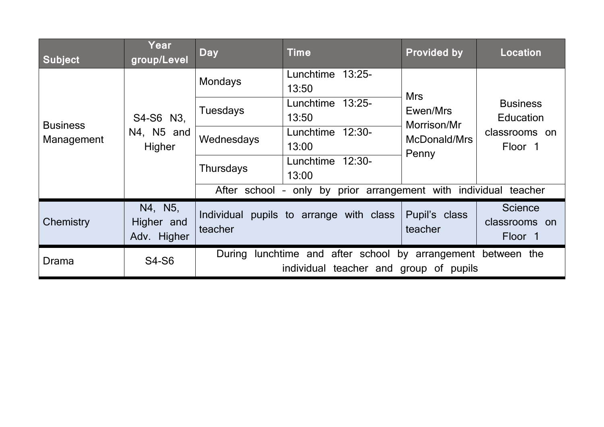| <b>Subject</b>                | Year<br>group/Level                  | <b>Day</b>                                                                                             | Time                                    | <b>Provided by</b>                                             | <b>Location</b>                                                 |
|-------------------------------|--------------------------------------|--------------------------------------------------------------------------------------------------------|-----------------------------------------|----------------------------------------------------------------|-----------------------------------------------------------------|
| <b>Business</b><br>Management | S4-S6 N3,<br>N4, N5 and<br>Higher    | <b>Mondays</b>                                                                                         | Lunchtime 13:25-<br>13:50               | <b>Mrs</b><br>Ewen/Mrs<br>Morrison/Mr<br>McDonald/Mrs<br>Penny | <b>Business</b><br><b>Education</b><br>classrooms on<br>Floor 1 |
|                               |                                      | <b>Tuesdays</b>                                                                                        | Lunchtime 13:25-<br>13:50               |                                                                |                                                                 |
|                               |                                      | Wednesdays                                                                                             | Lunchtime 12:30-<br>13:00               |                                                                |                                                                 |
|                               |                                      | <b>Thursdays</b>                                                                                       | Lunchtime 12:30-<br>13:00               |                                                                |                                                                 |
|                               |                                      | only by prior arrangement with individual<br>After school<br>teacher                                   |                                         |                                                                |                                                                 |
| Chemistry                     | N4, N5,<br>Higher and<br>Adv. Higher | teacher                                                                                                | Individual pupils to arrange with class | Pupil's class<br>teacher                                       | <b>Science</b><br>classrooms on<br>Floor <sub>1</sub>           |
| Drama                         | <b>S4-S6</b>                         | During lunchtime and after school by arrangement between the<br>individual teacher and group of pupils |                                         |                                                                |                                                                 |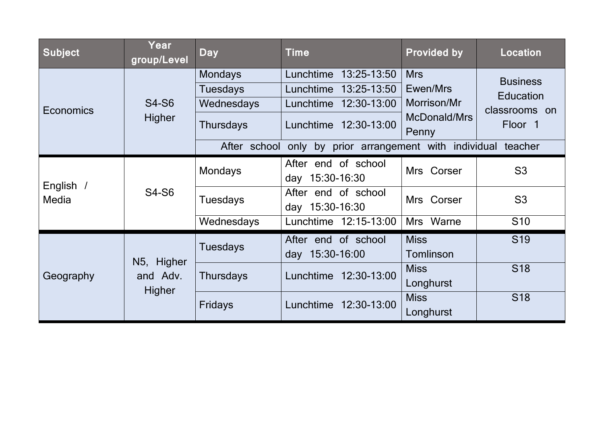| <b>Subject</b>     | Year<br>group/Level              | <b>Day</b>                        | <b>Time</b>                                          | <b>Provided by</b>                                             | <b>Location</b>                                                 |
|--------------------|----------------------------------|-----------------------------------|------------------------------------------------------|----------------------------------------------------------------|-----------------------------------------------------------------|
| Economics          | <b>S4-S6</b><br>Higher           | <b>Mondays</b><br><b>Tuesdays</b> | 13:25-13:50<br>Lunchtime<br>13:25-13:50<br>Lunchtime | <b>Mrs</b><br>Ewen/Mrs<br>Morrison/Mr<br>McDonald/Mrs<br>Penny | <b>Business</b><br><b>Education</b><br>classrooms on<br>Floor 1 |
|                    |                                  | Wednesdays<br><b>Thursdays</b>    | 12:30-13:00<br>Lunchtime<br>Lunchtime 12:30-13:00    |                                                                |                                                                 |
|                    |                                  | After school                      | by prior arrangement with individual<br>only         |                                                                | teacher                                                         |
| English /<br>Media | <b>S4-S6</b>                     | <b>Mondays</b>                    | After end of school<br>day 15:30-16:30               | Mrs Corser                                                     | S <sub>3</sub>                                                  |
|                    |                                  | <b>Tuesdays</b>                   | After end of school<br>day 15:30-16:30               | Mrs Corser                                                     | S <sub>3</sub>                                                  |
|                    |                                  | Wednesdays                        | Lunchtime 12:15-13:00                                | Mrs Warne                                                      | S <sub>10</sub>                                                 |
| Geography          | N5, Higher<br>and Adv.<br>Higher | <b>Tuesdays</b>                   | After end of school<br>day 15:30-16:00               | <b>Miss</b><br>Tomlinson                                       | S <sub>19</sub>                                                 |
|                    |                                  | <b>Thursdays</b>                  | 12:30-13:00<br>Lunchtime                             | <b>Miss</b><br>Longhurst                                       | <b>S18</b>                                                      |
|                    |                                  | <b>Fridays</b>                    | 12:30-13:00<br>Lunchtime                             | <b>Miss</b><br>Longhurst                                       | <b>S18</b>                                                      |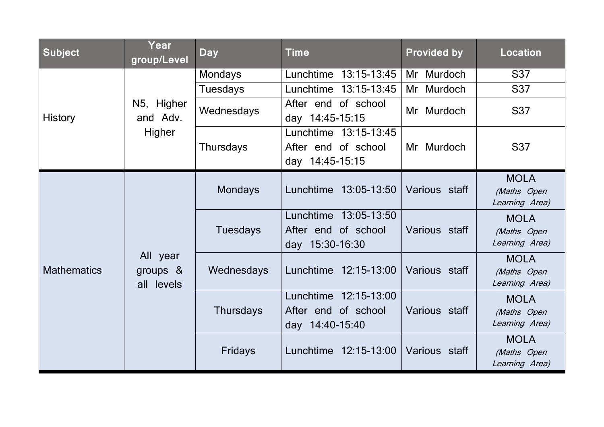| <b>Subject</b>     | Year<br>group/Level                   | <b>Day</b>       | <b>Time</b>                                                        | <b>Provided by</b> | <b>Location</b>                              |
|--------------------|---------------------------------------|------------------|--------------------------------------------------------------------|--------------------|----------------------------------------------|
| <b>History</b>     | N5, Higher<br>and Adv.<br>Higher      | <b>Mondays</b>   | 13:15-13:45<br>Lunchtime                                           | Murdoch<br>Mr      | <b>S37</b>                                   |
|                    |                                       | <b>Tuesdays</b>  | 13:15-13:45<br>Lunchtime                                           | Murdoch<br>Mr      | <b>S37</b>                                   |
|                    |                                       | Wednesdays       | After end of school<br>day 14:45-15:15                             | Mr Murdoch         | <b>S37</b>                                   |
|                    |                                       | <b>Thursdays</b> | Lunchtime 13:15-13:45<br>After end of school<br>day 14:45-15:15    | Mr Murdoch         | <b>S37</b>                                   |
| <b>Mathematics</b> | All year<br>groups $\&$<br>all levels | <b>Mondays</b>   | Lunchtime<br>13:05-13:50                                           | Various staff      | <b>MOLA</b><br>(Maths Open<br>Learning Area) |
|                    |                                       | <b>Tuesdays</b>  | 13:05-13:50<br>Lunchtime<br>After end of school<br>day 15:30-16:30 | Various staff      | <b>MOLA</b><br>(Maths Open<br>Learning Area) |
|                    |                                       | Wednesdays       | 12:15-13:00<br>Lunchtime                                           | Various staff      | <b>MOLA</b><br>(Maths Open<br>Learning Area) |
|                    |                                       | <b>Thursdays</b> | Lunchtime<br>12:15-13:00<br>After end of school<br>day 14:40-15:40 | Various staff      | <b>MOLA</b><br>(Maths Open<br>Learning Area) |
|                    |                                       | Fridays          | Lunchtime 12:15-13:00                                              | Various staff      | <b>MOLA</b><br>(Maths Open<br>Learning Area) |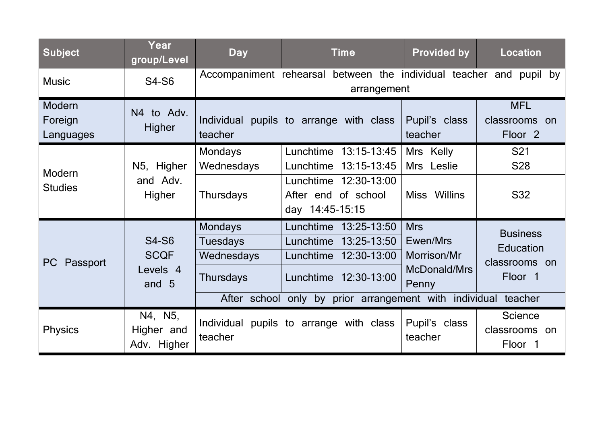| <b>Subject</b>                 | Year<br>group/Level                                         | <b>Day</b>                                                                          | <b>Time</b>                                                                                                                                            | <b>Provided by</b>                                             | <b>Location</b>                                                            |
|--------------------------------|-------------------------------------------------------------|-------------------------------------------------------------------------------------|--------------------------------------------------------------------------------------------------------------------------------------------------------|----------------------------------------------------------------|----------------------------------------------------------------------------|
| <b>Music</b>                   | <b>S4-S6</b>                                                |                                                                                     | Accompaniment rehearsal between the individual teacher and pupil by<br>arrangement                                                                     |                                                                |                                                                            |
| Modern<br>Foreign<br>Languages | N4 to Adv.<br>Higher                                        | teacher                                                                             | Individual pupils to arrange with class                                                                                                                | Pupil's class<br>teacher                                       | <b>MFL</b><br>classrooms on<br>Floor <sub>2</sub>                          |
| Modern<br><b>Studies</b>       | N5, Higher<br>and Adv.<br>Higher                            | <b>Mondays</b><br>Wednesdays<br><b>Thursdays</b>                                    | 13:15-13:45<br>Lunchtime<br>13:15-13:45<br>Lunchtime<br>12:30-13:00<br>Lunchtime<br>After end of school<br>day 14:45-15:15                             | Mrs Kelly<br>Mrs Leslie<br>Miss Willins                        | S <sub>21</sub><br><b>S28</b><br><b>S32</b>                                |
| PC<br>Passport                 | <b>S4-S6</b><br><b>SCQF</b><br>Levels <sub>4</sub><br>and 5 | <b>Mondays</b><br><b>Tuesdays</b><br>Wednesdays<br><b>Thursdays</b><br>After school | Lunchtime<br>13:25-13:50<br>13:25-13:50<br>Lunchtime<br>12:30-13:00<br>Lunchtime<br>Lunchtime 12:30-13:00<br>only by prior arrangement with individual | <b>Mrs</b><br>Ewen/Mrs<br>Morrison/Mr<br>McDonald/Mrs<br>Penny | <b>Business</b><br><b>Education</b><br>classrooms on<br>Floor 1<br>teacher |
| <b>Physics</b>                 | N4, N5,<br>Higher and<br>Adv. Higher                        | teacher                                                                             | Individual pupils to arrange with class                                                                                                                | Pupil's class<br>teacher                                       | <b>Science</b><br>classrooms on<br>Floor 1                                 |